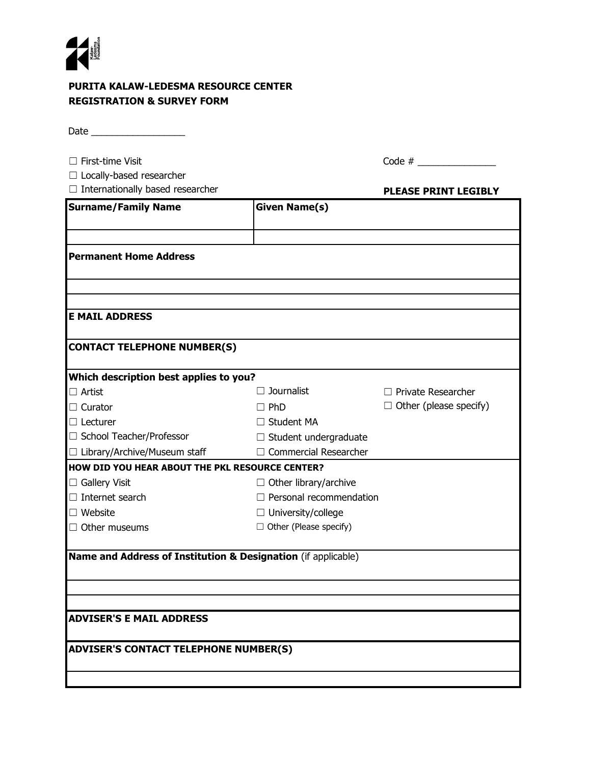

## **PURITA KALAW-LEDESMA RESOURCE CENTER REGISTRATION & SURVEY FORM**

Date \_\_\_\_\_\_\_\_\_\_\_\_\_\_\_\_\_\_

| $\Box$ First-time Visit                                       |                                | Code $#$                      |
|---------------------------------------------------------------|--------------------------------|-------------------------------|
| $\Box$ Locally-based researcher                               |                                |                               |
| Internationally based researcher                              |                                | <b>PLEASE PRINT LEGIBLY</b>   |
| <b>Surname/Family Name</b>                                    | <b>Given Name(s)</b>           |                               |
| <b>Permanent Home Address</b>                                 |                                |                               |
| <b>E MAIL ADDRESS</b>                                         |                                |                               |
| <b>CONTACT TELEPHONE NUMBER(S)</b>                            |                                |                               |
| Which description best applies to you?                        |                                |                               |
| $\Box$ Artist                                                 | Journalist                     | $\Box$ Private Researcher     |
| $\Box$ Curator                                                | $\square$ PhD                  | $\Box$ Other (please specify) |
| $\Box$ Lecturer                                               | $\Box$ Student MA              |                               |
| □ School Teacher/Professor                                    | $\Box$ Student undergraduate   |                               |
| $\Box$ Library/Archive/Museum staff                           | $\Box$ Commercial Researcher   |                               |
| HOW DID YOU HEAR ABOUT THE PKL RESOURCE CENTER?               |                                |                               |
| $\Box$ Gallery Visit                                          | $\Box$ Other library/archive   |                               |
| $\Box$ Internet search                                        | $\Box$ Personal recommendation |                               |
| $\Box$ Website                                                | $\Box$ University/college      |                               |
| $\Box$ Other museums                                          | $\Box$ Other (Please specify)  |                               |
| Name and Address of Institution & Designation (if applicable) |                                |                               |
|                                                               |                                |                               |
|                                                               |                                |                               |
|                                                               |                                |                               |
|                                                               |                                |                               |
| <b>ADVISER'S E MAIL ADDRESS</b>                               |                                |                               |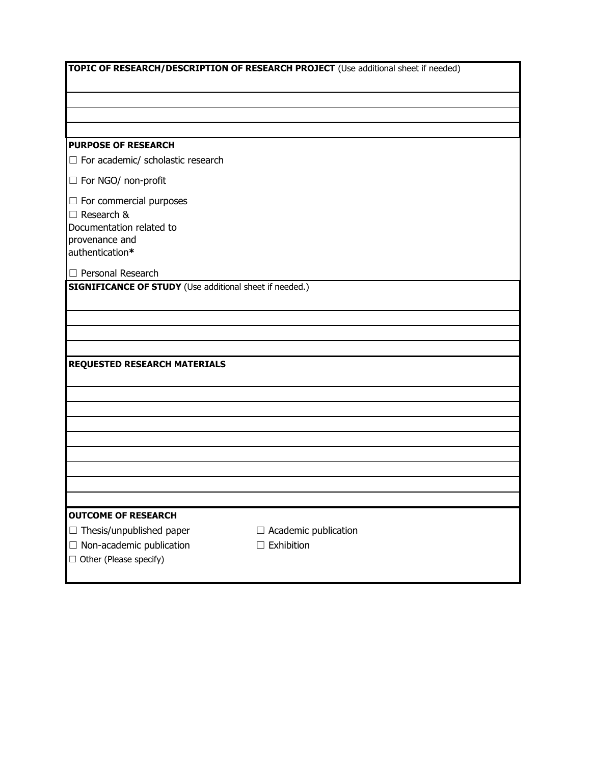| TOPIC OF RESEARCH/DESCRIPTION OF RESEARCH PROJECT (Use additional sheet if needed) |                             |  |  |  |
|------------------------------------------------------------------------------------|-----------------------------|--|--|--|
|                                                                                    |                             |  |  |  |
|                                                                                    |                             |  |  |  |
|                                                                                    |                             |  |  |  |
|                                                                                    |                             |  |  |  |
| <b>PURPOSE OF RESEARCH</b>                                                         |                             |  |  |  |
| $\Box$ For academic/ scholastic research                                           |                             |  |  |  |
| $\Box$ For NGO/ non-profit                                                         |                             |  |  |  |
| $\Box$ For commercial purposes                                                     |                             |  |  |  |
| $\Box$ Research &                                                                  |                             |  |  |  |
| Documentation related to                                                           |                             |  |  |  |
| provenance and<br>authentication*                                                  |                             |  |  |  |
|                                                                                    |                             |  |  |  |
| $\Box$ Personal Research                                                           |                             |  |  |  |
| <b>SIGNIFICANCE OF STUDY</b> (Use additional sheet if needed.)                     |                             |  |  |  |
|                                                                                    |                             |  |  |  |
|                                                                                    |                             |  |  |  |
|                                                                                    |                             |  |  |  |
| <b>REQUESTED RESEARCH MATERIALS</b>                                                |                             |  |  |  |
|                                                                                    |                             |  |  |  |
|                                                                                    |                             |  |  |  |
|                                                                                    |                             |  |  |  |
|                                                                                    |                             |  |  |  |
|                                                                                    |                             |  |  |  |
|                                                                                    |                             |  |  |  |
|                                                                                    |                             |  |  |  |
|                                                                                    |                             |  |  |  |
|                                                                                    |                             |  |  |  |
| <b>OUTCOME OF RESEARCH</b>                                                         |                             |  |  |  |
| $\Box$ Thesis/unpublished paper                                                    | $\Box$ Academic publication |  |  |  |
| $\Box$ Non-academic publication<br>□ Other (Please specify)                        | $\Box$ Exhibition           |  |  |  |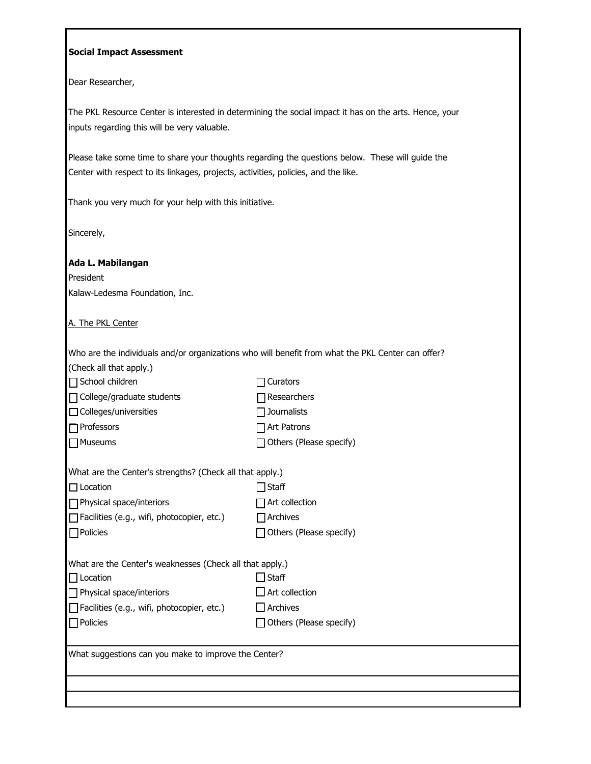## **Social Impact Assessment**

Dear Researcher,

The PKL Resource Center is interested in determining the social impact it has on the arts. Hence, your inputs regarding this will be very valuable.

Please take some time to share your thoughts regarding the questions below. These will guide the Center with respect to its linkages, projects, activities, policies, and the like.

Thank you very much for your help with this initiative.

Sincerely,

| Ada L. Mabilangan |  |  |  |  |  |
|-------------------|--|--|--|--|--|
|-------------------|--|--|--|--|--|

President Kalaw-Ledesma Foundation, Inc.

A. The PKL Center

Who are the individuals and/or organizations who will benefit from what the PKL Center can offer?

| (Check all that apply.)                                  |                                |  |  |
|----------------------------------------------------------|--------------------------------|--|--|
| $\Box$ School children                                   | <b>T</b> Curators              |  |  |
| $\Box$ College/graduate students                         | $\prod$ Researchers            |  |  |
| $\Box$ Colleges/universities                             | $\sqsupset$ Journalists        |  |  |
| $\Box$ Professors                                        | Art Patrons                    |  |  |
| $\Box$ Museums                                           | $\Box$ Others (Please specify) |  |  |
| What are the Center's strengths? (Check all that apply.) |                                |  |  |
| $\Box$ Location                                          | $\sqcap$ Staff                 |  |  |
| $\Box$ Physical space/interiors                          | Art collection                 |  |  |
| $\Box$ Facilities (e.g., wifi, photocopier, etc.)        | $\Box$ Archives                |  |  |
| $\Box$ Policies                                          | Others (Please specify)        |  |  |
| What are the Center's weaknesses (Check all that apply.) |                                |  |  |
| $\Box$ Location                                          | $\Box$ Staff                   |  |  |
| $\Box$ Physical space/interiors                          | $\Box$ Art collection          |  |  |
| $\Box$ Facilities (e.g., wifi, photocopier, etc.)        | $\Box$ Archives                |  |  |
| $\Box$ Policies                                          | $\Box$ Others (Please specify) |  |  |
| What suggestions can you make to improve the Center?     |                                |  |  |
|                                                          |                                |  |  |
|                                                          |                                |  |  |
|                                                          |                                |  |  |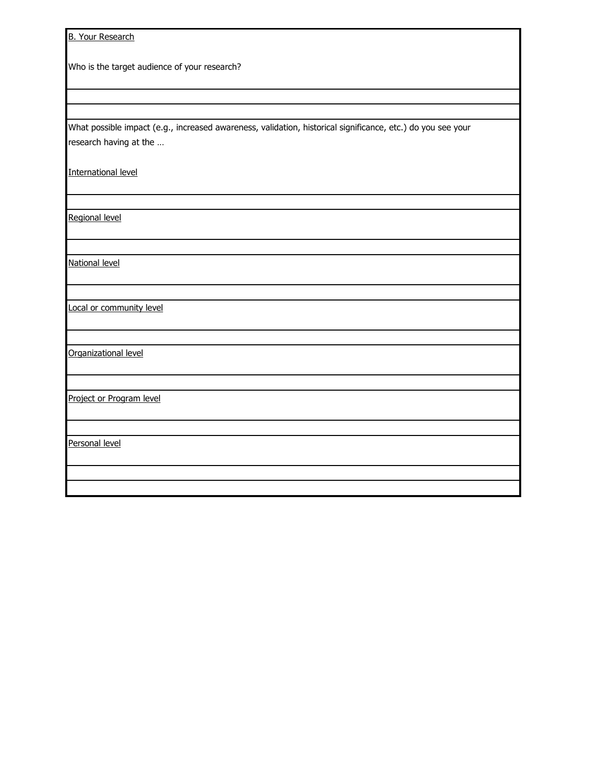B. Your Research

Who is the target audience of your research?

What possible impact (e.g., increased awareness, validation, historical significance, etc.) do you see your research having at the …

International level

Regional level

National level

Local or community level

Organizational level

Project or Program level

Personal level